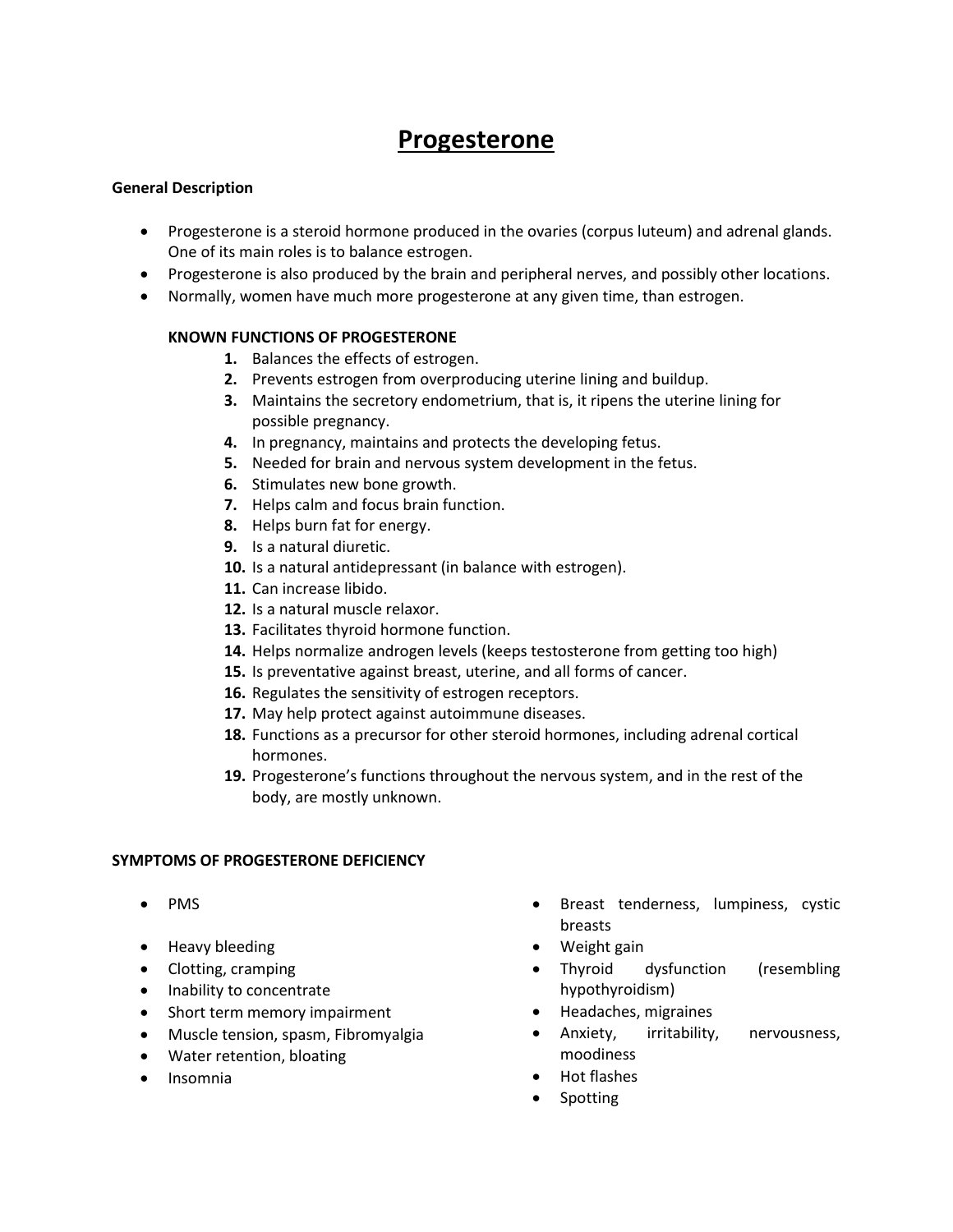# **Progesterone**

# **General Description**

- Progesterone is a steroid hormone produced in the ovaries (corpus luteum) and adrenal glands. One of its main roles is to balance estrogen.
- Progesterone is also produced by the brain and peripheral nerves, and possibly other locations.
- Normally, women have much more progesterone at any given time, than estrogen.

# **KNOWN FUNCTIONS OF PROGESTERONE**

- **1.** Balances the effects of estrogen.
- **2.** Prevents estrogen from overproducing uterine lining and buildup.
- **3.** Maintains the secretory endometrium, that is, it ripens the uterine lining for possible pregnancy.
- **4.** In pregnancy, maintains and protects the developing fetus.
- **5.** Needed for brain and nervous system development in the fetus.
- **6.** Stimulates new bone growth.
- **7.** Helps calm and focus brain function.
- **8.** Helps burn fat for energy.
- **9.** Is a natural diuretic.
- **10.** Is a natural antidepressant (in balance with estrogen).
- **11.** Can increase libido.
- **12.** Is a natural muscle relaxor.
- **13.** Facilitates thyroid hormone function.
- **14.** Helps normalize androgen levels (keeps testosterone from getting too high)
- **15.** Is preventative against breast, uterine, and all forms of cancer.
- **16.** Regulates the sensitivity of estrogen receptors.
- **17.** May help protect against autoimmune diseases.
- **18.** Functions as a precursor for other steroid hormones, including adrenal cortical hormones.
- **19.** Progesterone's functions throughout the nervous system, and in the rest of the body, are mostly unknown.

#### **SYMPTOMS OF PROGESTERONE DEFICIENCY**

- $\bullet$  PMS
- Heavy bleeding
- Clotting, cramping
- Inability to concentrate
- Short term memory impairment
- Muscle tension, spasm, Fibromyalgia
- Water retention, bloating
- Insomnia
- Breast tenderness, lumpiness, cystic breasts
- Weight gain
- Thyroid dysfunction (resembling hypothyroidism)
- Headaches, migraines
- Anxiety, irritability, nervousness, moodiness
- Hot flashes
- Spotting